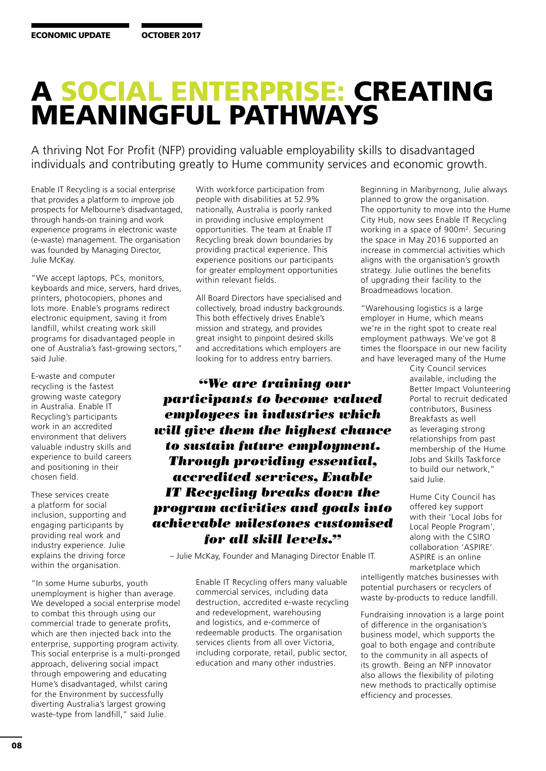## A SOCIAL ENTERPRISE: CREATING MEANINGFUL PATHWAYS

A thriving Not For Profit (NFP) providing valuable employability skills to disadvantaged individuals and contributing greatly to Hume community services and economic growth.

Enable IT Recycling is a social enterprise that provides a platform to improve job prospects for Melbourne's disadvantaged, through hands-on training and work experience programs in electronic waste (e-waste) management. The organisation was founded by Managing Director, Julie McKay.

"We accept laptops, PCs, monitors, keyboards and mice, servers, hard drives, printers, photocopiers, phones and lots more. Enable's programs redirect electronic equipment, saving it from landfill, whilst creating work skill programs for disadvantaged people in one of Australia's fast-growing sectors," said Julie.

E-waste and computer recycling is the fastest growing waste category in Australia. Enable IT Recycling's participants work in an accredited environment that delivers valuable industry skills and experience to build careers and positioning in their chosen field.

These services create a platform for social inclusion, supporting and engaging participants by providing real work and industry experience. Julie explains the driving force within the organisation.

"In some Hume suburbs, youth unemployment is higher than average. We developed a social enterprise model to combat this through using our commercial trade to generate profits, which are then injected back into the enterprise, supporting program activity. This social enterprise is a multi-pronged approach, delivering social impact through empowering and educating Hume's disadvantaged, whilst caring for the Environment by successfully diverting Australia's largest growing waste-type from landfill," said Julie.

With workforce participation from people with disabilities at 52.9% nationally, Australia is poorly ranked in providing inclusive employment opportunities. The team at Enable IT Recycling break down boundaries by providing practical experience. This experience positions our participants for greater employment opportunities within relevant fields.

All Board Directors have specialised and collectively, broad industry backgrounds. This both effectively drives Enable's mission and strategy, and provides great insight to pinpoint desired skills and accreditations which employers are looking for to address entry barriers.

 *"We are training our participants to become valued employees in industries which will give them the highest chance to sustain future employment. Through providing essential, accredited services, Enable IT Recycling breaks down the program activities and goals into achievable milestones customised for all skill levels."*

– Julie McKay, Founder and Managing Director Enable IT.

Enable IT Recycling offers many valuable commercial services, including data destruction, accredited e-waste recycling and redevelopment, warehousing and logistics, and e-commerce of redeemable products. The organisation services clients from all over Victoria, including corporate, retail, public sector, education and many other industries.

Beginning in Maribyrnong, Julie always planned to grow the organisation. The opportunity to move into the Hume City Hub, now sees Enable IT Recycling working in a space of 900m2. Securing the space in May 2016 supported an increase in commercial activities which aligns with the organisation's growth strategy. Julie outlines the benefits of upgrading their facility to the Broadmeadows location.

"Warehousing logistics is a large employer in Hume, which means we're in the right spot to create real employment pathways. We've got 8 times the floorspace in our new facility and have leveraged many of the Hume

> City Council services available, including the Better Impact Volunteering Portal to recruit dedicated contributors, Business Breakfasts as well as leveraging strong relationships from past membership of the Hume Jobs and Skills Taskforce to build our network," said Julie.

Hume City Council has offered key support with their 'Local Jobs for Local People Program', along with the CSIRO collaboration 'ASPIRE'. ASPIRE is an online marketplace which

intelligently matches businesses with potential purchasers or recyclers of waste by-products to reduce landfill.

Fundraising innovation is a large point of difference in the organisation's business model, which supports the goal to both engage and contribute to the community in all aspects of its growth. Being an NFP innovator also allows the flexibility of piloting new methods to practically optimise efficiency and processes.